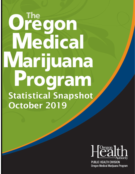# Oregon Medical Marijuana Program Statistical Snapshot October 2019



PUBLIC HEALTH DIVISION Oregon Medical Marijuana Program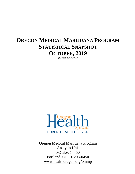## **OREGON MEDICAL MARIJUANA PROGRAM STATISTICAL SNAPSHOT OCTOBER, 2019**

*(REVISED 10/17/2019)*



Oregon Medical Marijuana Program Analysis Unit PO Box 14450 Portland, OR 97293-0450 www.healthoregon.org/ommp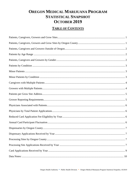## **OREGON MEDICAL MARIJUANA PROGRAM STATISTICAL SNAPSHOT OCTOBER 2019**

## **TABLE OF CONTENTS**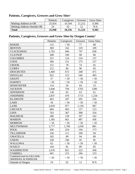## <span id="page-3-0"></span>**Patients, Caregivers, Growers and Grow Sites1**

|                                   | Patients | Caregivers | Growers | <b>Grow Sites</b> |
|-----------------------------------|----------|------------|---------|-------------------|
| <b>Mailing Address in OR</b>      | 25,924   | 10.194     | 11.212  | 9,384             |
| <b>Mailing Address Outside OR</b> | 24       | 62         |         | N/A               |
| <b>Total</b>                      | 25,948   | 10,256     | 11.224  | 9,383             |

## <span id="page-3-1"></span>**Patients, Caregivers, Growers and Grow Sites by Oregon County1**

|                                                   | Patients | Caregivers | Growers | <b>Grow Sites</b> |
|---------------------------------------------------|----------|------------|---------|-------------------|
| <b>BAKER</b>                                      | 115      | < 50       | 77      | 68                |
| <b>BENTON</b>                                     | 369      | 162        | 129     | 109               |
| <b>CLACKAMAS</b>                                  | 1,762    | 846        | 747     | 658               |
| <b>CLATSOP</b>                                    | 268      | 100        | 68      | 66                |
| <b>COLUMBIA</b>                                   | 251      | 124        | 154     | 137               |
| <b>COOS</b>                                       | 366      | 151        | 175     | 157               |
| <b>CROOK</b>                                      | 151      | 78         | 74      | 65                |
| <b>CURRY</b>                                      | 212      | 84         | 96      | 83                |
| <b>DESCHUTES</b>                                  | 1,469    | 672        | 548     | 471               |
| <b>DOUGLAS</b>                                    | 922      | 313        | 546     | 495               |
| <b>GRANT</b>                                      | 57       | < 50       | < 50    | < 50              |
| <b>HARNEY</b>                                     | < 50     | < 50       | < 50    | < 50              |
| <b>HOOD RIVER</b>                                 | 114      | 56         | 64      | 53                |
| <b>JACKSON</b>                                    | 3,446    | 794        | 1702    | 1280              |
| <b>JEFFERSON</b>                                  | 138      | 65         | 63      | 61                |
| <b>JOSEPHINE</b>                                  | 2,837    | 470        | 1713    | 1,254             |
| <b>KLAMATH</b>                                    | 463      | 187        | 295     | 256               |
| <b>LAKE</b>                                       | 56       | < 50       | < 50    | < 50              |
| <b>LANE</b>                                       | 2,659    | 977        | 1,130   | 967               |
| <b>LINCOLN</b>                                    | 684      | 403        | 137     | 123               |
| <b>LINN</b>                                       | 763      | 367        | 398     | 354               |
| <b>MALHEUR</b>                                    | 280      | 128        | 197     | 162               |
| <b>MARION</b>                                     | 1,305    | 661        | 487     | 436               |
| <b>MORROW</b>                                     | < 50     | < 50       | < 50    | < 50              |
| <b>MULTNOMAH</b>                                  | 3,777    | 1,760      | 1,030   | 881               |
| <b>POLK</b>                                       | 456      | 224        | 194     | 173               |
| <b>TILLAMOOK</b>                                  | 236      | 111        | 100     | 94                |
| <b>UMATILLA</b>                                   | 182      | 89         | 94      | 89                |
| <b>UNION</b>                                      | 228      | 106        | 95      | 85                |
| <b>WALLOWA</b>                                    | 62       | < 50       | < 50    | < 50              |
| <b>WASCO</b>                                      | 144      | 81         | 89      | 85                |
| <b>WASHINGTON</b>                                 | 1,676    | 821        | 523     | 458               |
| YAMHILL                                           | 401      | 215        | 166     | 153               |
| Combined total for GILLIAM,<br>SHERMAN, & WHEELER | < 50     | < 50       | < 50    | < 50              |
| <b>Outside of Oregon</b>                          | 24       | 62         | 12      | N/A               |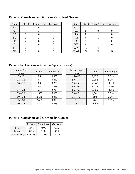| <b>State</b> | Patients | Caregivers | Growers | <b>State</b> | Patients | Caregivers | Growers |
|--------------|----------|------------|---------|--------------|----------|------------|---------|
| AL           |          |            |         | <b>NV</b>    |          |            |         |
| AZ           |          |            |         | <b>SC</b>    |          |            |         |
| <b>CA</b>    |          | n          |         | <b>SD</b>    |          |            |         |
| FL           |          |            |         | <b>TN</b>    |          |            |         |
| ID           |          | h          |         | <b>TX</b>    |          |            |         |
| IL           |          |            |         | ${\rm VT}$   |          |            |         |
| MI           |          |            |         | <b>WA</b>    | 12       | 38         |         |
| NC           |          |            |         | <b>Total</b> | 24       | 62         | 12      |

## <span id="page-4-0"></span>**Patients, Caregivers and Growers Outside of Oregon**

| <b>State</b> | Patients | Caregivers | Growers |
|--------------|----------|------------|---------|
| <b>NV</b>    |          | 2          |         |
| <b>SC</b>    |          |            |         |
| <b>SD</b>    |          |            |         |
| <b>TN</b>    |          |            |         |
| <b>TX</b>    |          |            |         |
| <b>VT</b>    |          |            |         |
| <b>WA</b>    | 12       | 38         |         |
| <b>Total</b> | 24       | 62         | 12      |

<span id="page-4-1"></span>**Patients by Age Range** *(not all are 5-year increments)*

| Patient Age | Count | Percentage | Patient Age  | Count  | Percentage |
|-------------|-------|------------|--------------|--------|------------|
| Range       |       |            | Range        |        |            |
| $0 - 10$    | 85    | $0.3\%$    | $45 - 49$    | 2,120  | 8.2%       |
| $11 - 15$   | 65    | 0.3%       | $50 - 54$    | 2,256  | 8.7%       |
| $16 - 17$   | 63    | $0.2\%$    | $55 - 59$    | 2,847  | 11.0%      |
| $18 - 20$   | 460   | 1.8%       | $60 - 64$    | 3,238  | 12.5%      |
| $21 - 24$   | 694   | 2.7%       | $65 - 69$    | 2,959  | 11.4%      |
| $25 - 29$   | 1,557 | 6.0%       | $70 - 74$    | 1,881  | 7.2%       |
| $30 - 34$   | 2,148 | 8.3%       | $75 - 79$    | 593    | 2.3%       |
| $35 - 39$   | 2,426 | 9.3%       | $80 +$       | 265    | 1.0%       |
| $40 - 44$   | 2,291 | 8.8%       | <b>Total</b> | 25,948 |            |
|             |       |            |              |        |            |

## <span id="page-4-2"></span>**Patients, Caregivers and Growers by Gender**

|            | Patients  | Caregivers | Growers   |
|------------|-----------|------------|-----------|
| Male       | 58%       | 49%        | 65%       |
| Female     | 42%       | 51%        | 35%       |
| Non Binary | $< 0.3\%$ | $< 0.1\%$  | $< 0.1\%$ |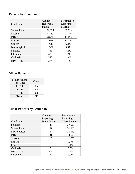## <span id="page-5-0"></span>**Patients by Condition2**

|                 | Count of  | Percentage of |
|-----------------|-----------|---------------|
| Condition       | Reporting | Reporting     |
|                 | Patients  | Patients      |
| Severe Pain     | 22,824    | 88.0%         |
| <b>Spasms</b>   | 5,469     | 21.1%         |
| <b>PTSD</b>     | 3,521     | 13.6%         |
| Nausea          | 2,639     | 10.2%         |
| Cancer          | 1,640     | 6.3%          |
| Neurological    | 1,377     | 5.3%          |
| Seizures        | 843       | 3.2%          |
| Glaucoma        | 429       | 1.7%          |
| Cachexia        | 325       | 1.3%          |
| <b>HIV/AIDS</b> | 274       | 1.1%          |

## <span id="page-5-1"></span>**Minor Patients**

| <b>Minor Patient</b><br>Age Range | Count |
|-----------------------------------|-------|
| $0 - 10$                          | 85    |
| $11 - 15$                         | 65    |
| $16 - 17$                         | 63    |
| <b>Total</b>                      | 213   |

## <span id="page-5-2"></span>**Minor Patients by Condition2**

|                 | Count of              | Percentage of         |
|-----------------|-----------------------|-----------------------|
|                 | Reporting             | Reporting             |
| Condition       | <b>Minor Patients</b> | <b>Minor Patients</b> |
| <b>Seizures</b> | 80                    | 37.6%                 |
| Severe Pain     | 67                    | 31.5%                 |
| Neurological    | 64                    | 30.0%                 |
| <b>PTSD</b>     | 31                    | 14.6%                 |
| <b>Spasms</b>   | 25                    | 11.7%                 |
| Nausea          | 16                    | 7.5%                  |
| Cancer          | 13                    | 6.1%                  |
| Cachexia        |                       | 3.3%                  |
| <b>HIV/AIDS</b> | $\lt$ 5               | $< 1\%$               |
| Glaucoma        |                       | 0.0%                  |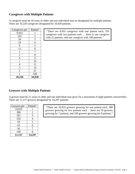#### <span id="page-6-0"></span>**Caregivers with Multiple Patients**

A caregiver must be 18 years or older and one individual may be designated by multiple patients. There are 10,220 caregivers designated by 10,920 patients.

| Caregivers per | Patient <sup>3</sup>        |                                                                                                                     |
|----------------|-----------------------------|---------------------------------------------------------------------------------------------------------------------|
| 9,933          |                             | "There are 9,933 caregivers with one patient each, 193<br>caregivers with two patients each  there is one caregiver |
| 193            | $\mathcal{D}_{\mathcal{L}}$ | with 21 patients, and one caregiver with 108 patients."                                                             |
| 34             | 3                           |                                                                                                                     |
| 19             | 4                           |                                                                                                                     |
| 9              | 5                           |                                                                                                                     |
| 11             | 6                           |                                                                                                                     |
| 5              |                             |                                                                                                                     |
|                | 8                           |                                                                                                                     |
| 4              | 9                           |                                                                                                                     |
|                | 10                          |                                                                                                                     |
|                |                             |                                                                                                                     |
|                | 14                          |                                                                                                                     |
|                | 21                          |                                                                                                                     |
|                | 108                         |                                                                                                                     |
| 10,220         | 10,920                      |                                                                                                                     |

#### <span id="page-6-1"></span>**Growers with Multiple Patients**

A grower must be 21 years or older and one individual may grow for a maximum of eight patients concurrently. There are 11,137 growers designated by 14,297 patients.

| Growers per | Patient <sup>3</sup> |
|-------------|----------------------|
| 10,033      |                      |
| 380         | $\overline{2}$       |
| 181         | 3                    |
| 256         | 4                    |
| 59          | 5                    |
| 63          | 6                    |
| 56          | 7                    |
| 109         | 8                    |
| 11,137      | 14,297               |

"There are 10,033 growers growing for one patient each, 380 growers growing for two patients each. . .there are 56 growers growing for 7 patients, and 109 growers growing for 8 patients."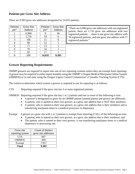#### <span id="page-7-0"></span>**Patients per Grow Site Address**

| Patients         | <b>Grow Site</b> | Patients         | Grow S |
|------------------|------------------|------------------|--------|
| per <sup>3</sup> | <b>Address</b>   | per <sup>3</sup> | Addres |
|                  | 6,990            | 9                | 36     |
| $\overline{2}$   | 1,716            | 10               | 6      |
| 3                | 106              | 11               | 6      |
| 4                | 80               | 12               |        |
| 5                | 71               | 13               |        |
| б                | 70               | 16               |        |
|                  | 92               | 17               |        |
| 8                | 206              | 14,635           | 9,383  |

There are 9,383 grow site addresses designated by 14,635 patients.

| Patients         | <b>Grow Site</b> |  |
|------------------|------------------|--|
| per <sup>3</sup> | Address          |  |
| 9                | 36               |  |
| 10               | 6                |  |
| 11               | 6                |  |
| 12               |                  |  |
| 13               |                  |  |
| 16               |                  |  |
| 17               |                  |  |
| 635              | 282              |  |

"There are 6,990 grow site addresses with one registered patient, there are 1,716 grow site addresses with two registered patients … there is one grow site address with 16 registered patients, and one grow site address with 17 registered patients."

#### <span id="page-7-1"></span>**Grower Reporting Requirements**

OMMP growers are required to report into one of two reporting systems unless they are exempt from reporting. A grower may be required to either report monthly using the OMMP's Oregon Medical Marijuana Online System (OMMOS) or in real time using the Oregon Liquor Control Commission's Cannabis Tracking System (CTS).

The criteria to determine which system a grower is required to use for reporting is as follows:

CTS: Reporting required if the grow site has 3 or more registered patients.

OMMOS: Reporting required if the grow site has 1 or 2 patients and one or more of the following is true:

- A grower is designated to grow for an OMMP patient (named patient and grower are different).
- A patient, who is named as their own grower, at a grow site address that is NOT their residence.
- A patient, who is named as their own grower, at a grow site address that is their residence and is transferring marijuana items to a medical processor or dispensary.

Exempt: A grower at a grow site with 1 or 2 patients is exempt from reporting if ALL of the following are true:

- A patient, who is named as their own grower, at a grow site address that is their residence; and
- The patient, who is named as their own grower, is not transferring marijuana items to a medical dispensary or processing site.

| Grow site<br>reporting system | Count of distinct<br>grow site addresses |
|-------------------------------|------------------------------------------|
| <b>CTS</b>                    | 607                                      |
| <b>OMMOS</b>                  | 849                                      |
| Exempt                        | 7,927                                    |
| <b>Total</b>                  | 9.383                                    |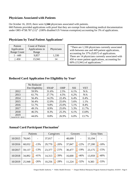#### <span id="page-8-0"></span>**Physicians Associated with Patients**

On October 16, 2019, there were **1,344** physicians associated with patients.

660 Patients provided applications with proof that they are exempt from submitting medical documentation under ORS 475B.787  $(11)^4$  (100% disabled US Veteran exemption) accounting for 3% of applications.

| Patient            | <b>Count of Patient</b> |            |  |
|--------------------|-------------------------|------------|--|
| Application        | Applications in         | Physicians |  |
| <b>Range Count</b> | Range                   |            |  |
| 1 - 449            | 9,857                   | 1,330      |  |
| > 450              | 15,941                  |            |  |

#### <span id="page-8-1"></span>**Physicians by Total Patient Applications5**

"There are 1,330 physicians currently associated with between one and 449 patient applications, accounting for 37% (9,857) of applications. There are 14 physicians currently associated with 450 or more patient applications, accounting for 60% (15,941) of applications."

|                                 | No Reduced      |             |            |            |            |
|---------------------------------|-----------------|-------------|------------|------------|------------|
|                                 | Fee Eligibility | <b>SNAP</b> | <b>OHP</b> | <b>SSI</b> | <b>VET</b> |
| 2012                            | 59.9%           | 31.6%       | 2.5%       | 6.1%       | N/A        |
| 2013                            | 61.7%           | 27.7%       | 4.5%       | 6.2%       | N/A        |
| 2014                            | 56.4%           | 14.3%       | 22.4%      | 6.4%       | 0.4%       |
| 2015                            | 56.4%           | 12.0%       | 25.0%      | 5.6%       | 1.1%       |
| 2016                            | 51.7%           | 9.8%        | 25.0%      | 5.1%       | 8.4%       |
| 2017                            | 49.1%           | 8.9%        | 25.0%      | 5.3%       | 11.7%      |
| 2018                            | 46.5%           | 8.3%        | 25.3%      | 6.1%       | 13.8%      |
| 2019<br>Partial $01/19 - 09/19$ | 44.6%           | 8.8%        | 26.9%      | 6.0%       | 13.7%      |

#### <span id="page-8-2"></span>**Reduced Card Application Fee Eligibility by Year6**

#### <span id="page-8-3"></span>**Annual Card Participant Fluctuation7**

|         |        | Patients |        | Caregivers |        | Growers |        | <b>Grow Sites</b> |
|---------|--------|----------|--------|------------|--------|---------|--------|-------------------|
| 10/2015 | 78,045 |          | 37,017 |            | 48,699 |         | 33,194 |                   |
| 10/2016 | 68,032 | $-13%$   | 29,770 | $-20%$     | 37,847 | $-22%$  | 27,200 | $-18%$            |
| 10/2017 | 59,137 | $-13%$   | 23,377 | $-21%$     | 30,477 | $-19%$  | 23,175 | $-15%$            |
| 10/2018 | 34,892 | $-41%$   | 14,313 | $-39%$     | 16,600 | $-46%$  | 13,959 | $-40%$            |
| 10/2019 | 25,948 | $-26%$   | 10,256 | $-28%$     | 11,224 | $-32%$  | 9,383  | $-33%$            |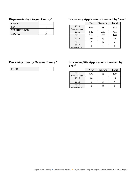## <span id="page-9-0"></span>**Dispensaries by Oregon County8**

| <b>UNION</b>      |  |
|-------------------|--|
| <b>CURRY</b>      |  |
| <b>WASHINGTON</b> |  |
| <b>TOTAL</b>      |  |

## <span id="page-9-1"></span>**Dispensary Applications Received by Year9**

|                                  | <b>New</b> | Renewal | <b>Total</b> |
|----------------------------------|------------|---------|--------------|
| 2014<br>Partial $(3/14 - 12/14)$ | 623        |         | 623          |
| 2015                             | 522        | 229     | 751          |
| 2016                             | 118        | 328     | 446          |
| 2017                             | 10         | 19      | 29           |
| 2018                             | 2          |         |              |
| 2019<br>(Partial 01/19 - 09/19)  |            |         |              |

## <span id="page-9-2"></span>**Processing Sites by Oregon County10**

| -- |  |
|----|--|

#### <span id="page-9-3"></span>**Processing Site Applications Received by Year9**

|                                    | <b>New</b> | Renewal | <b>Total</b> |
|------------------------------------|------------|---------|--------------|
| 2016<br>Partial $(4/16 - 12/16)$   | 322        |         | 322          |
| 2017                               | 18         |         | 19           |
| 2018                               |            |         |              |
| 2019<br>(Partial $01/19 - 09/19$ ) |            |         |              |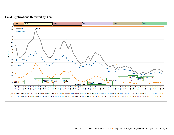#### **Card Applications Received by Year**

<span id="page-10-0"></span>